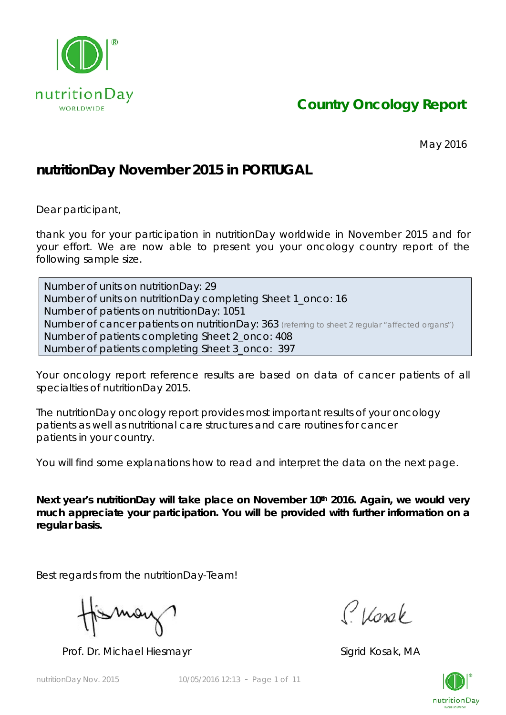

*Country Oncology Report*

May 2016

## **nutritionDay November 2015 in PORTUGAL**

Dear participant,

thank you for your participation in nutritionDay worldwide in November 2015 and for your effort. We are now able to present you your oncology country report of the following sample size.

Number of units on nutritionDay: 29 Number of units on nutritionDay completing Sheet 1\_onco: 16 Number of patients on nutritionDay: 1051 Number of cancer patients on nutritionDay: 363 *(referring to sheet 2 regular "affected organs")* Number of patients completing Sheet 2\_onco: 408 Number of patients completing Sheet 3\_onco: 397

Your oncology report reference results are based on data of cancer patients of all specialties of nutritionDay 2015.

The nutritionDay oncology report provides most important results of your oncology patients as well as nutritional care structures and care routines for cancer patients in your country.

You will find some explanations how to read and interpret the data on the next page.

Next year's nutritionDay will take place on November 10<sup>th</sup> 2016. Again, we would very **much appreciate your participation. You will be provided with further information on a regular basis.** 

Best regards from the nutritionDay-Team!

Mov

Prof. Dr. Michael Hiesmayr Sigrid Kosak, MA

Classe

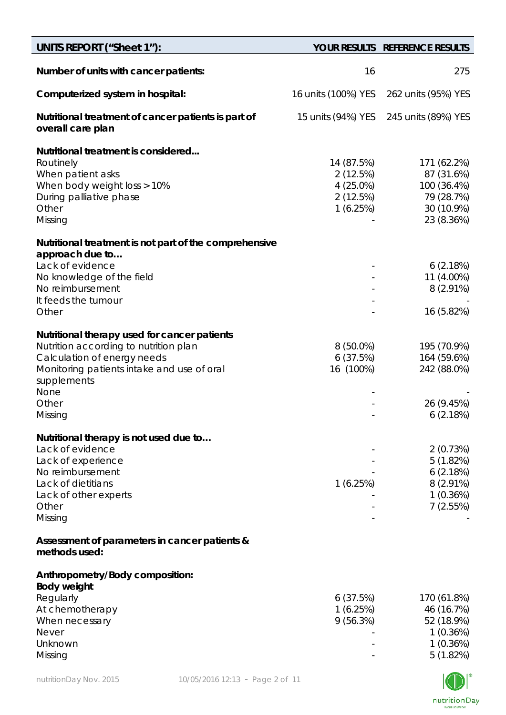| UNITS REPORT ("Sheet 1"):                                                                                                                                                         |                                                             | YOUR RESULTS REFERENCE RESULTS                                                     |
|-----------------------------------------------------------------------------------------------------------------------------------------------------------------------------------|-------------------------------------------------------------|------------------------------------------------------------------------------------|
| Number of units with cancer patients:                                                                                                                                             | 16                                                          | 275                                                                                |
| Computerized system in hospital:                                                                                                                                                  | 16 units (100%) YES                                         | 262 units (95%) YES                                                                |
| Nutritional treatment of cancer patients is part of<br>overall care plan                                                                                                          | 15 units (94%) YES                                          | 245 units (89%) YES                                                                |
| Nutritional treatment is considered<br>Routinely<br>When patient asks<br>When body weight loss > 10%<br>During palliative phase<br>Other<br>Missing                               | 14 (87.5%)<br>2(12.5%)<br>4 (25.0%)<br>2(12.5%)<br>1(6.25%) | 171 (62.2%)<br>87 (31.6%)<br>100 (36.4%)<br>79 (28.7%)<br>30 (10.9%)<br>23 (8.36%) |
| Nutritional treatment is not part of the comprehensive                                                                                                                            |                                                             |                                                                                    |
| approach due to<br>Lack of evidence<br>No knowledge of the field<br>No reimbursement<br>It feeds the tumour                                                                       |                                                             | 6(2.18%)<br>11 (4.00%)<br>$8(2.91\%)$                                              |
| Other                                                                                                                                                                             |                                                             | 16 (5.82%)                                                                         |
| Nutritional therapy used for cancer patients<br>Nutrition according to nutrition plan<br>Calculation of energy needs<br>Monitoring patients intake and use of oral<br>supplements | $8(50.0\%)$<br>6(37.5%)<br>16 (100%)                        | 195 (70.9%)<br>164 (59.6%)<br>242 (88.0%)                                          |
| None<br>Other<br>Missing                                                                                                                                                          |                                                             | 26 (9.45%)<br>6(2.18%)                                                             |
| Nutritional therapy is not used due to<br>Lack of evidence<br>Lack of experience<br>No reimbursement<br>Lack of dietitians<br>Lack of other experts<br>Other<br>Missing           | 1 (6.25%)                                                   | 2(0.73%)<br>5(1.82%)<br>6(2.18%)<br>$8(2.91\%)$<br>1(0.36%)<br>7(2.55%)            |
| Assessment of parameters in cancer patients &<br>methods used:                                                                                                                    |                                                             |                                                                                    |
| Anthropometry/Body composition:<br><b>Body weight</b><br>Regularly<br>At chemotherapy<br>When necessary<br><b>Never</b><br>Unknown<br>Missing                                     | 6 (37.5%)<br>1 (6.25%)<br>9(56.3%)                          | 170 (61.8%)<br>46 (16.7%)<br>52 (18.9%)<br>1(0.36%)<br>1(0.36%)<br>5(1.82%)        |

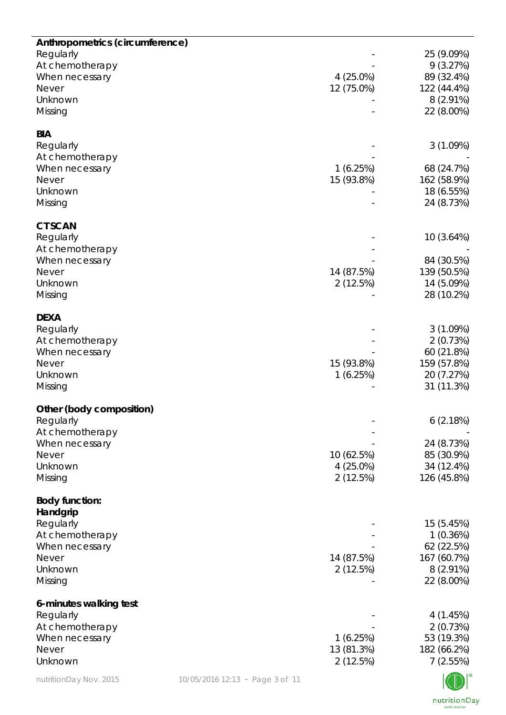| Anthropometrics (circumference) |                                 |             |                           |
|---------------------------------|---------------------------------|-------------|---------------------------|
| Regularly                       |                                 |             | 25 (9.09%)<br>9(3.27%)    |
| At chemotherapy                 |                                 |             |                           |
| When necessary                  |                                 | $4(25.0\%)$ | 89 (32.4%)                |
| <b>Never</b>                    |                                 | 12 (75.0%)  | 122 (44.4%)               |
| Unknown                         |                                 |             | $8(2.91\%)$               |
| Missing                         |                                 |             | 22 (8.00%)                |
| <b>BIA</b>                      |                                 |             |                           |
| Regularly                       |                                 |             | 3(1.09%)                  |
| At chemotherapy                 |                                 |             |                           |
| When necessary                  |                                 | 1(6.25%)    | 68 (24.7%)                |
| <b>Never</b>                    |                                 | 15 (93.8%)  | 162 (58.9%)               |
| Unknown                         |                                 |             | 18 (6.55%)                |
| Missing                         |                                 |             | 24 (8.73%)                |
| <b>CT SCAN</b>                  |                                 |             |                           |
| Regularly                       |                                 |             | 10 (3.64%)                |
| At chemotherapy                 |                                 |             |                           |
| When necessary                  |                                 |             | 84 (30.5%)                |
| <b>Never</b>                    |                                 | 14 (87.5%)  | 139 (50.5%)               |
| Unknown                         |                                 | 2(12.5%)    | 14 (5.09%)                |
| Missing                         |                                 |             | 28 (10.2%)                |
|                                 |                                 |             |                           |
| <b>DEXA</b>                     |                                 |             |                           |
| Regularly                       |                                 |             | 3(1.09%)                  |
| At chemotherapy                 |                                 |             | 2(0.73%)                  |
| When necessary                  |                                 |             | 60 (21.8%)                |
| <b>Never</b>                    |                                 | 15 (93.8%)  | 159 (57.8%)               |
| Unknown                         |                                 | 1(6.25%)    | 20 (7.27%)                |
| Missing                         |                                 |             | 31 (11.3%)                |
| Other (body composition)        |                                 |             |                           |
| Regularly                       |                                 |             | 6(2.18%)                  |
| At chemotherapy                 |                                 |             |                           |
| When necessary                  |                                 |             | 24 (8.73%)                |
| <b>Never</b>                    |                                 | 10 (62.5%)  | 85 (30.9%)                |
| Unknown                         |                                 | $4(25.0\%)$ | 34 (12.4%)                |
| Missing                         |                                 | 2(12.5%)    | 126 (45.8%)               |
|                                 |                                 |             |                           |
| <b>Body function:</b>           |                                 |             |                           |
| Handgrip                        |                                 |             |                           |
| Regularly                       |                                 |             | 15 (5.45%)                |
| At chemotherapy                 |                                 |             | 1(0.36%)                  |
| When necessary<br><b>Never</b>  |                                 |             | 62 (22.5%)                |
|                                 |                                 | 14 (87.5%)  | 167 (60.7%)               |
| Unknown<br>Missing              |                                 | 2(12.5%)    | $8(2.91\%)$<br>22 (8.00%) |
|                                 |                                 |             |                           |
| 6-minutes walking test          |                                 |             |                           |
| Regularly                       |                                 |             | 4(1.45%)                  |
| At chemotherapy                 |                                 |             | 2(0.73%)                  |
| When necessary                  |                                 | 1(6.25%)    | 53 (19.3%)                |
| <b>Never</b>                    |                                 | 13 (81.3%)  | 182 (66.2%)               |
| Unknown                         |                                 | 2(12.5%)    | 7(2.55%)                  |
| nutritionDay Nov. 2015          | 10/05/2016 12:13 - Page 3 of 11 |             |                           |

 $\underset{\scriptscriptstyle{\text{WORLOWIDE}}} {\text{nutritionDay}}$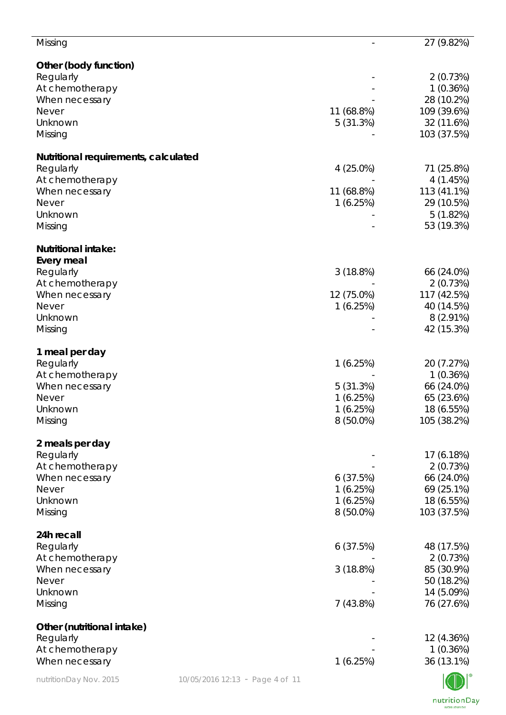| Missing                              |                                 |             | 27 (9.82%)  |
|--------------------------------------|---------------------------------|-------------|-------------|
| Other (body function)                |                                 |             |             |
| Regularly                            |                                 |             | 2(0.73%)    |
| At chemotherapy                      |                                 |             | 1(0.36%)    |
| When necessary                       |                                 |             | 28 (10.2%)  |
| <b>Never</b>                         |                                 | 11 (68.8%)  | 109 (39.6%) |
| Unknown                              |                                 | 5(31.3%)    | 32 (11.6%)  |
| Missing                              |                                 |             | 103 (37.5%) |
| Nutritional requirements, calculated |                                 |             |             |
| Regularly                            |                                 | $4(25.0\%)$ | 71 (25.8%)  |
| At chemotherapy                      |                                 |             | 4(1.45%)    |
| When necessary                       |                                 | 11 (68.8%)  | 113 (41.1%) |
| <b>Never</b>                         |                                 | 1(6.25%)    | 29 (10.5%)  |
| Unknown                              |                                 |             | 5(1.82%)    |
| Missing                              |                                 |             | 53 (19.3%)  |
| <b>Nutritional intake:</b>           |                                 |             |             |
| Every meal                           |                                 |             |             |
| Regularly                            |                                 | 3(18.8%)    | 66 (24.0%)  |
| At chemotherapy                      |                                 |             | 2(0.73%)    |
| When necessary                       |                                 | 12 (75.0%)  | 117 (42.5%) |
| <b>Never</b>                         |                                 | 1(6.25%)    | 40 (14.5%)  |
| Unknown                              |                                 |             | $8(2.91\%)$ |
| Missing                              |                                 |             | 42 (15.3%)  |
| 1 meal per day                       |                                 |             |             |
| Regularly                            |                                 | 1(6.25%)    | 20 (7.27%)  |
| At chemotherapy                      |                                 |             | 1(0.36%)    |
| When necessary                       |                                 | 5(31.3%)    | 66 (24.0%)  |
| <b>Never</b>                         |                                 | 1(6.25%)    | 65 (23.6%)  |
| Unknown                              |                                 | 1(6.25%)    | 18 (6.55%)  |
| Missing                              |                                 | $8(50.0\%)$ | 105 (38.2%) |
| 2 meals per day                      |                                 |             |             |
| Regularly                            |                                 |             | 17 (6.18%)  |
| At chemotherapy                      |                                 |             | 2(0.73%)    |
| When necessary                       |                                 | 6(37.5%)    | 66 (24.0%)  |
| <b>Never</b>                         |                                 | 1(6.25%)    | 69 (25.1%)  |
| Unknown                              |                                 | 1(6.25%)    | 18 (6.55%)  |
| Missing                              |                                 | $8(50.0\%)$ | 103 (37.5%) |
| 24h recall                           |                                 |             |             |
| Regularly                            |                                 | 6(37.5%)    | 48 (17.5%)  |
| At chemotherapy                      |                                 |             | 2(0.73%)    |
| When necessary                       |                                 | 3(18.8%)    | 85 (30.9%)  |
| <b>Never</b>                         |                                 |             | 50 (18.2%)  |
| Unknown                              |                                 |             | 14 (5.09%)  |
| Missing                              |                                 | 7(43.8%)    | 76 (27.6%)  |
| Other (nutritional intake)           |                                 |             |             |
| Regularly                            |                                 |             | 12 (4.36%)  |
| At chemotherapy                      |                                 |             | 1(0.36%)    |
| When necessary                       |                                 | 1(6.25%)    | 36 (13.1%)  |
| nutritionDay Nov. 2015               | 10/05/2016 12:13 - Page 4 of 11 |             |             |

NU I nutritionDay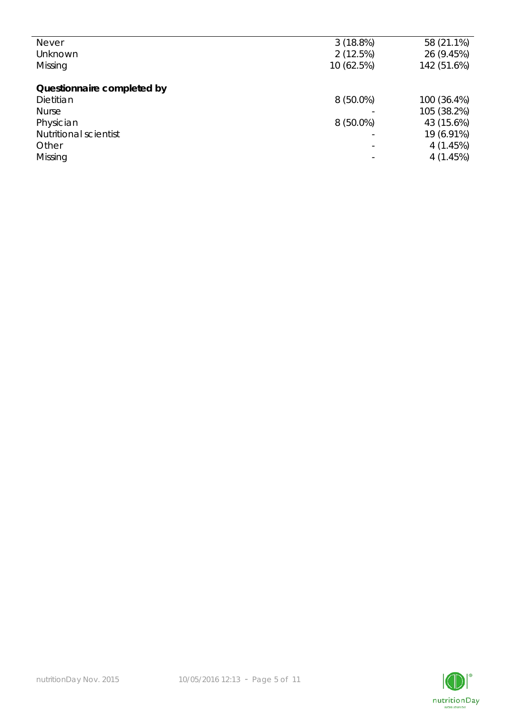| <b>Never</b>                 | 3(18.8%)    | 58 (21.1%)  |
|------------------------------|-------------|-------------|
| Unknown                      | 2(12.5%)    | 26 (9.45%)  |
| Missing                      | 10 (62.5%)  | 142 (51.6%) |
|                              |             |             |
| Questionnaire completed by   |             |             |
| Dietitian                    | $8(50.0\%)$ | 100 (36.4%) |
| <b>Nurse</b>                 |             | 105 (38.2%) |
| Physician                    | $8(50.0\%)$ | 43 (15.6%)  |
| <b>Nutritional scientist</b> |             | 19 (6.91%)  |
| Other                        |             | 4(1.45%)    |
| Missing                      |             | 4(1.45%)    |
|                              |             |             |

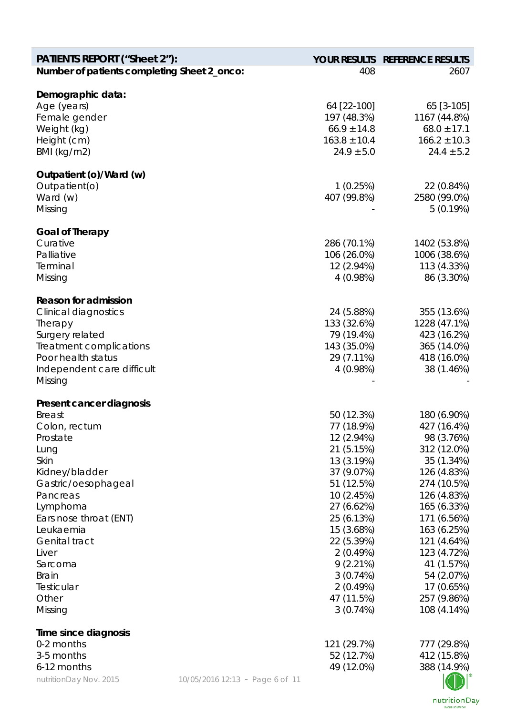| <b>PATIENTS REPORT ("Sheet 2"):</b>           |                                 |                                | YOUR RESULTS REFERENCE RESULTS  |
|-----------------------------------------------|---------------------------------|--------------------------------|---------------------------------|
| Number of patients completing Sheet 2_onco:   |                                 | 408                            | 2607                            |
|                                               |                                 |                                |                                 |
| Demographic data:                             |                                 |                                |                                 |
| Age (years)                                   |                                 | 64 [22-100]                    | 65 [3-105]                      |
| Female gender<br>Weight (kg)                  |                                 | 197 (48.3%)<br>$66.9 \pm 14.8$ | 1167 (44.8%)<br>$68.0 \pm 17.1$ |
| Height (cm)                                   |                                 | $163.8 \pm 10.4$               | $166.2 \pm 10.3$                |
| BMI (kg/m2)                                   |                                 | $24.9 \pm 5.0$                 | $24.4 \pm 5.2$                  |
| Outpatient (o)/Ward (w)                       |                                 |                                |                                 |
| Outpatient(o)                                 |                                 | 1(0.25%)                       | 22 (0.84%)                      |
| Ward (w)                                      |                                 | 407 (99.8%)                    | 2580 (99.0%)                    |
| Missing                                       |                                 |                                | 5(0.19%)                        |
| <b>Goal of Therapy</b>                        |                                 |                                |                                 |
| Curative                                      |                                 | 286 (70.1%)                    | 1402 (53.8%)                    |
| Palliative                                    |                                 | 106 (26.0%)                    | 1006 (38.6%)                    |
| Terminal                                      |                                 | 12 (2.94%)                     | 113 (4.33%)                     |
| Missing                                       |                                 | 4(0.98%)                       | 86 (3.30%)                      |
| <b>Reason for admission</b>                   |                                 |                                |                                 |
| <b>Clinical diagnostics</b>                   |                                 | 24 (5.88%)                     | 355 (13.6%)                     |
| Therapy                                       |                                 | 133 (32.6%)                    | 1228 (47.1%)                    |
| Surgery related                               |                                 | 79 (19.4%)                     | 423 (16.2%)                     |
| Treatment complications<br>Poor health status |                                 | 143 (35.0%)                    | 365 (14.0%)                     |
| Independent care difficult                    |                                 | 29 (7.11%)<br>4(0.98%)         | 418 (16.0%)<br>38 (1.46%)       |
| Missing                                       |                                 |                                |                                 |
| Present cancer diagnosis                      |                                 |                                |                                 |
| <b>Breast</b>                                 |                                 | 50 (12.3%)                     | 180 (6.90%)                     |
| Colon, rectum                                 |                                 | 77 (18.9%)                     | 427 (16.4%)                     |
| Prostate                                      |                                 | 12 (2.94%)                     | 98 (3.76%)                      |
| Lung                                          |                                 | 21 (5.15%)                     | 312 (12.0%)                     |
| Skin                                          |                                 | 13 (3.19%)                     | 35 (1.34%)                      |
| Kidney/bladder                                |                                 | 37 (9.07%)                     | 126 (4.83%)                     |
| Gastric/oesophageal                           |                                 | 51 (12.5%)                     | 274 (10.5%)                     |
| Pancreas                                      |                                 | 10 (2.45%)<br>27 (6.62%)       | 126 (4.83%)<br>165 (6.33%)      |
| Lymphoma<br>Ears nose throat (ENT)            |                                 | 25 (6.13%)                     | 171 (6.56%)                     |
| Leukaemia                                     |                                 | 15 (3.68%)                     | 163 (6.25%)                     |
| <b>Genital tract</b>                          |                                 | 22 (5.39%)                     | 121 (4.64%)                     |
| Liver                                         |                                 | 2(0.49%)                       | 123 (4.72%)                     |
| Sarcoma                                       |                                 | 9(2.21%)                       | 41 (1.57%)                      |
| <b>Brain</b>                                  |                                 | 3(0.74%)                       | 54 (2.07%)                      |
| Testicular                                    |                                 | 2(0.49%)                       | 17 (0.65%)                      |
| Other                                         |                                 | 47 (11.5%)                     | 257 (9.86%)                     |
| Missing                                       |                                 | 3(0.74%)                       | 108 (4.14%)                     |
| Time since diagnosis                          |                                 |                                |                                 |
| 0-2 months                                    |                                 | 121 (29.7%)                    | 777 (29.8%)                     |
| 3-5 months                                    |                                 | 52 (12.7%)                     | 412 (15.8%)                     |
| 6-12 months                                   |                                 | 49 (12.0%)                     | 388 (14.9%)                     |
| nutritionDay Nov. 2015                        | 10/05/2016 12:13 - Page 6 of 11 |                                |                                 |

nutritionDay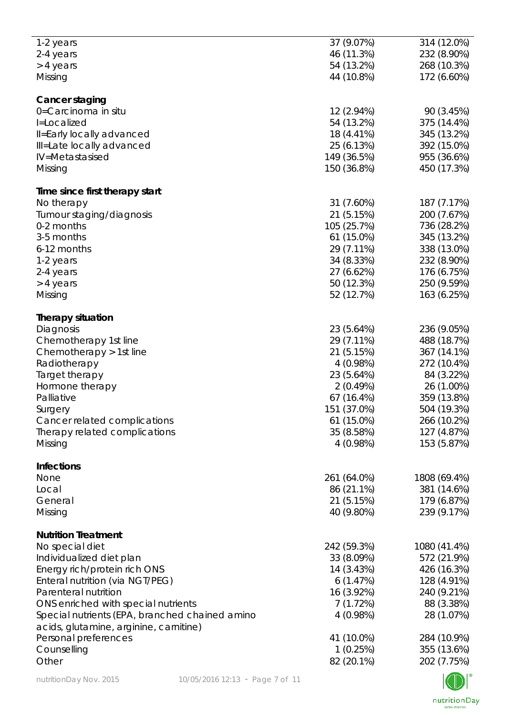| 1-2 years                                      | 37 (9.07%)   | 314 (12.0%)           |
|------------------------------------------------|--------------|-----------------------|
| 2-4 years                                      | 46 (11.3%)   | 232 (8.90%)           |
|                                                |              |                       |
| > 4 years                                      | 54 (13.2%)   | 268 (10.3%)           |
| Missing                                        | 44 (10.8%)   | 172 (6.60%)           |
|                                                |              |                       |
| Cancer staging                                 |              |                       |
| 0=Carcinoma in situ                            | 12 (2.94%)   | 90 (3.45%)            |
| I=Localized                                    | 54 (13.2%)   | 375 (14.4%)           |
| Il=Early locally advanced                      | 18 (4.41%)   | 345 (13.2%)           |
|                                                |              |                       |
| Ill=Late locally advanced                      | 25 (6.13%)   | 392 (15.0%)           |
| IV=Metastasised                                | 149 (36.5%)  | 955 (36.6%)           |
| Missing                                        | 150 (36.8%)  | 450 (17.3%)           |
|                                                |              |                       |
| Time since first therapy start                 |              |                       |
| No therapy                                     | 31 (7.60%)   | 187 (7.17%)           |
| Tumour staging/diagnosis                       | 21 (5.15%)   | 200 (7.67%)           |
| 0-2 months                                     | 105 (25.7%)  | 736 (28.2%)           |
| 3-5 months                                     |              |                       |
|                                                | 61 (15.0%)   | 345 (13.2%)           |
| 6-12 months                                    | 29 (7.11%)   | 338 (13.0%)           |
| 1-2 years                                      | 34 (8.33%)   | 232 (8.90%)           |
| 2-4 years                                      | 27 (6.62%)   | 176 (6.75%)           |
| > 4 years                                      | 50 (12.3%)   | 250 (9.59%)           |
|                                                |              |                       |
| Missing                                        | 52 (12.7%)   | 163 (6.25%)           |
| <b>Therapy situation</b>                       |              |                       |
|                                                | 23 (5.64%)   | 236 (9.05%)           |
| Diagnosis                                      |              |                       |
| Chemotherapy 1st line                          | 29 (7.11%)   | 488 (18.7%)           |
| Chemotherapy > 1st line                        | 21 (5.15%)   | 367 (14.1%)           |
| Radiotherapy                                   | 4 (0.98%)    | 272 (10.4%)           |
| Target therapy                                 | 23 (5.64%)   | 84 (3.22%)            |
|                                                |              |                       |
| Hormone therapy                                | 2(0.49%)     | 26 (1.00%)            |
| Palliative                                     | 67(16.4%)    | 359 (13.8%)           |
| Surgery                                        | 151 (37.0%)  | 504 (19.3%)           |
| Cancer related complications                   | $61(15.0\%)$ | 266 (10.2%)           |
| Therapy related complications                  | 35 (8.58%)   | 127 (4.87%)           |
|                                                |              |                       |
| Missing                                        | 4(0.98%)     | 153 (5.87%)           |
| <b>Infections</b>                              |              |                       |
| None                                           | 261 (64.0%)  | 1808 (69.4%)          |
|                                                |              |                       |
| Local                                          | 86 (21.1%)   | 381 (14.6%)           |
| General                                        | 21 (5.15%)   | 179 (6.87%)           |
| Missing                                        | 40 (9.80%)   | 239 (9.17%)           |
|                                                |              |                       |
| <b>Nutrition Treatment</b>                     |              |                       |
| No special diet                                | 242 (59.3%)  | 1080 (41.4%)          |
| Individualized diet plan                       | 33 (8.09%)   | 572 (21.9%)           |
| Energy rich/protein rich ONS                   | 14 (3.43%)   | 426 (16.3%)           |
| Enteral nutrition (via NGT/PEG)                | 6(1.47%)     | 128 (4.91%)           |
|                                                |              |                       |
| Parenteral nutrition                           | 16 (3.92%)   | 240 (9.21%)           |
| ONS enriched with special nutrients            | 7(1.72%)     | 88 (3.38%)            |
| Special nutrients (EPA, branched chained amino | 4(0.98%)     | 28 (1.07%)            |
| acids, glutamine, arginine, carnitine)         |              |                       |
|                                                |              |                       |
| Personal preferences                           | 41 (10.0%)   | 284 (10.9%)           |
| Counselling                                    | 1(0.25%)     | 355 (13.6%)           |
| Other                                          | 82 (20.1%)   | 202 (7.75%)           |
|                                                |              | $\sqrt{1-\lambda}$ 10 |

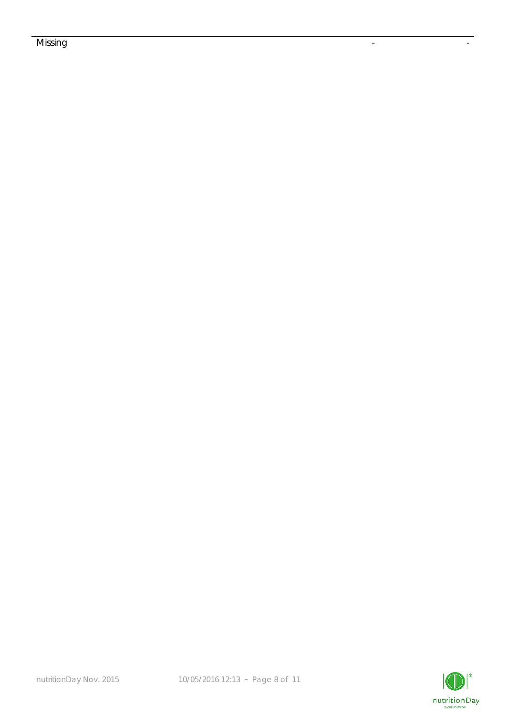## Missing the contract of the contract of the contract of the contract of the contract of the contract of the co

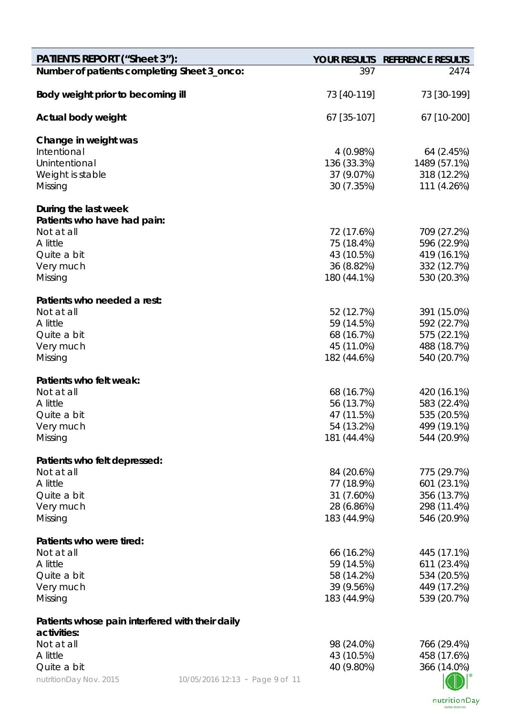| <b>PATIENTS REPORT ("Sheet 3"):</b>             |                                 |                           | YOUR RESULTS REFERENCE RESULTS |
|-------------------------------------------------|---------------------------------|---------------------------|--------------------------------|
| Number of patients completing Sheet 3_onco:     |                                 | 397                       | 2474                           |
| Body weight prior to becoming ill               |                                 | 73 [40-119]               | 73 [30-199]                    |
| Actual body weight                              |                                 | 67 [35-107]               | 67 [10-200]                    |
| Change in weight was                            |                                 |                           |                                |
| Intentional                                     |                                 | 4(0.98%)                  | 64 (2.45%)                     |
| Unintentional                                   |                                 | 136 (33.3%)               | 1489 (57.1%)                   |
| Weight is stable                                |                                 | 37 (9.07%)                | 318 (12.2%)                    |
| Missing                                         |                                 | 30 (7.35%)                | 111 (4.26%)                    |
| During the last week                            |                                 |                           |                                |
| Patients who have had pain:                     |                                 |                           |                                |
| Not at all<br>A little                          |                                 | 72 (17.6%)                | 709 (27.2%)<br>596 (22.9%)     |
| Quite a bit                                     |                                 | 75 (18.4%)<br>43 (10.5%)  | 419 (16.1%)                    |
| Very much                                       |                                 | 36 (8.82%)                | 332 (12.7%)                    |
| Missing                                         |                                 | 180 (44.1%)               | 530 (20.3%)                    |
|                                                 |                                 |                           |                                |
| Patients who needed a rest:                     |                                 |                           |                                |
| Not at all                                      |                                 | 52 (12.7%)                | 391 (15.0%)                    |
| A little                                        |                                 | 59 (14.5%)                | 592 (22.7%)                    |
| Quite a bit                                     |                                 | 68 (16.7%)                | 575 (22.1%)                    |
| Very much<br>Missing                            |                                 | 45 (11.0%)<br>182 (44.6%) | 488 (18.7%)<br>540 (20.7%)     |
|                                                 |                                 |                           |                                |
| Patients who felt weak:                         |                                 |                           |                                |
| Not at all                                      |                                 | 68 (16.7%)                | 420 (16.1%)                    |
| A little                                        |                                 | 56 (13.7%)                | 583 (22.4%)                    |
| Quite a bit                                     |                                 | 47 (11.5%)                | 535 (20.5%)                    |
| Very much                                       |                                 | 54 (13.2%)                | 499 (19.1%)                    |
| Missing                                         |                                 | 181 (44.4%)               | 544 (20.9%)                    |
| Patients who felt depressed:                    |                                 |                           |                                |
| Not at all                                      |                                 | 84 (20.6%)                | 775 (29.7%)                    |
| A little                                        |                                 | 77 (18.9%)                | 601 (23.1%)                    |
| Quite a bit                                     |                                 | 31 (7.60%)                | 356 (13.7%)                    |
| Very much                                       |                                 | 28 (6.86%)                | 298 (11.4%)                    |
| Missing                                         |                                 | 183 (44.9%)               | 546 (20.9%)                    |
| Patients who were tired:                        |                                 |                           |                                |
| Not at all                                      |                                 | 66 (16.2%)                | 445 (17.1%)                    |
| A little                                        |                                 | 59 (14.5%)                | 611 (23.4%)                    |
| Quite a bit                                     |                                 | 58 (14.2%)                | 534 (20.5%)                    |
| Very much                                       |                                 | 39 (9.56%)                | 449 (17.2%)                    |
| Missing                                         |                                 | 183 (44.9%)               | 539 (20.7%)                    |
| Patients whose pain interfered with their daily |                                 |                           |                                |
| activities:                                     |                                 |                           |                                |
| Not at all                                      |                                 | 98 (24.0%)                | 766 (29.4%)                    |
| A little<br>Quite a bit                         |                                 | 43 (10.5%)<br>40 (9.80%)  | 458 (17.6%)<br>366 (14.0%)     |
| nutritionDay Nov. 2015                          |                                 |                           |                                |
|                                                 | 10/05/2016 12:13 - Page 9 of 11 |                           |                                |

nutritionDay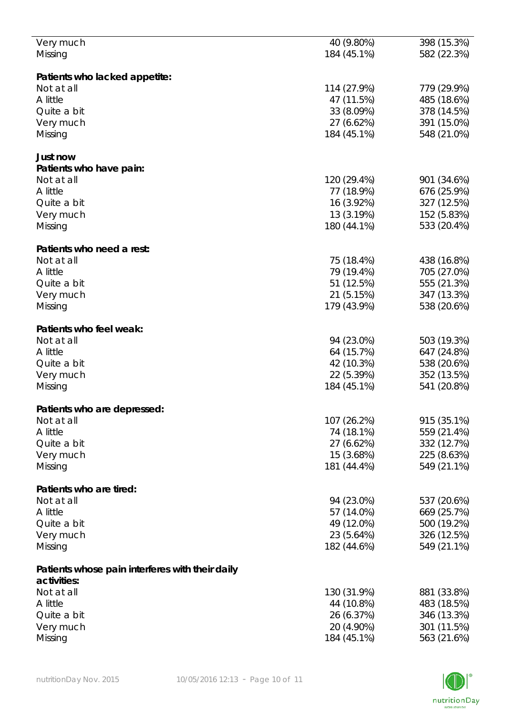| Very much                                       | 40 (9.80%)  | 398 (15.3%) |
|-------------------------------------------------|-------------|-------------|
| Missing                                         | 184 (45.1%) | 582 (22.3%) |
|                                                 |             |             |
|                                                 |             |             |
| Patients who lacked appetite:                   |             |             |
| Not at all                                      | 114 (27.9%) | 779 (29.9%) |
| A little                                        | 47 (11.5%)  | 485 (18.6%) |
| Quite a bit                                     | 33 (8.09%)  | 378 (14.5%) |
|                                                 |             |             |
| Very much                                       | 27 (6.62%)  | 391 (15.0%) |
| Missing                                         | 184 (45.1%) | 548 (21.0%) |
|                                                 |             |             |
| Just now                                        |             |             |
| Patients who have pain:                         |             |             |
|                                                 |             |             |
| Not at all                                      | 120 (29.4%) | 901 (34.6%) |
| A little                                        | 77 (18.9%)  | 676 (25.9%) |
| Quite a bit                                     | 16 (3.92%)  | 327 (12.5%) |
| Very much                                       | 13 (3.19%)  | 152 (5.83%) |
| Missing                                         | 180 (44.1%) | 533 (20.4%) |
|                                                 |             |             |
|                                                 |             |             |
| Patients who need a rest:                       |             |             |
| Not at all                                      | 75 (18.4%)  | 438 (16.8%) |
| A little                                        | 79 (19.4%)  | 705 (27.0%) |
| Quite a bit                                     | 51 (12.5%)  | 555 (21.3%) |
|                                                 | 21 (5.15%)  | 347 (13.3%) |
| Very much                                       |             |             |
| Missing                                         | 179 (43.9%) | 538 (20.6%) |
|                                                 |             |             |
| Patients who feel weak:                         |             |             |
| Not at all                                      | 94 (23.0%)  | 503 (19.3%) |
| A little                                        | 64 (15.7%)  | 647 (24.8%) |
|                                                 |             |             |
| Quite a bit                                     | 42 (10.3%)  | 538 (20.6%) |
| Very much                                       | 22 (5.39%)  | 352 (13.5%) |
| Missing                                         | 184 (45.1%) | 541 (20.8%) |
|                                                 |             |             |
| Patients who are depressed:                     |             |             |
| Not at all                                      | 107 (26.2%) | 915 (35.1%) |
|                                                 |             |             |
| A little                                        | 74 (18.1%)  | 559 (21.4%) |
| Quite a bit                                     | 27 (6.62%)  | 332 (12.7%) |
| Very much                                       | 15 (3.68%)  | 225 (8.63%) |
| Missing                                         | 181 (44.4%) | 549 (21.1%) |
|                                                 |             |             |
| Patients who are tired:                         |             |             |
|                                                 |             |             |
| Not at all                                      | 94 (23.0%)  | 537 (20.6%) |
| A little                                        | 57 (14.0%)  | 669 (25.7%) |
| Quite a bit                                     | 49 (12.0%)  | 500 (19.2%) |
| Very much                                       | 23 (5.64%)  | 326 (12.5%) |
|                                                 | 182 (44.6%) | 549 (21.1%) |
| Missing                                         |             |             |
|                                                 |             |             |
| Patients whose pain interferes with their daily |             |             |
| activities:                                     |             |             |
| Not at all                                      | 130 (31.9%) | 881 (33.8%) |
| A little                                        | 44 (10.8%)  | 483 (18.5%) |
|                                                 |             |             |
| Quite a bit                                     | 26 (6.37%)  | 346 (13.3%) |
| Very much                                       | 20 (4.90%)  | 301 (11.5%) |
| Missing                                         | 184 (45.1%) | 563 (21.6%) |
|                                                 |             |             |